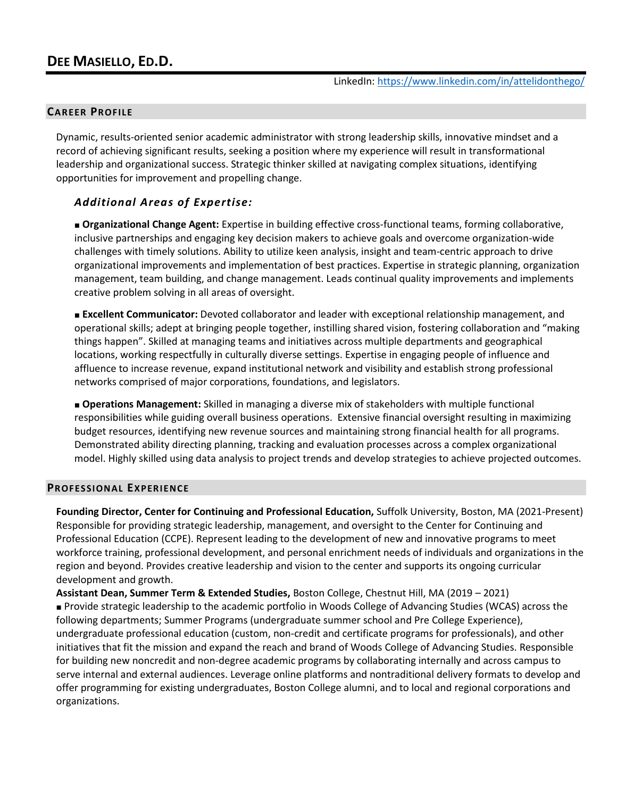### **CAREER PROFILE**

Dynamic, results-oriented senior academic administrator with strong leadership skills, innovative mindset and a record of achieving significant results, seeking a position where my experience will result in transformational leadership and organizational success. Strategic thinker skilled at navigating complex situations, identifying opportunities for improvement and propelling change.

### *Additional Areas of Expertise:*

■ **Organizational Change Agent:** Expertise in building effective cross-functional teams, forming collaborative, inclusive partnerships and engaging key decision makers to achieve goals and overcome organization-wide challenges with timely solutions. Ability to utilize keen analysis, insight and team-centric approach to drive organizational improvements and implementation of best practices. Expertise in strategic planning, organization management, team building, and change management. Leads continual quality improvements and implements creative problem solving in all areas of oversight.

■ **Excellent Communicator:** Devoted collaborator and leader with exceptional relationship management, and operational skills; adept at bringing people together, instilling shared vision, fostering collaboration and "making things happen". Skilled at managing teams and initiatives across multiple departments and geographical locations, working respectfully in culturally diverse settings. Expertise in engaging people of influence and affluence to increase revenue, expand institutional network and visibility and establish strong professional networks comprised of major corporations, foundations, and legislators.

■ **Operations Management:** Skilled in managing a diverse mix of stakeholders with multiple functional responsibilities while guiding overall business operations. Extensive financial oversight resulting in maximizing budget resources, identifying new revenue sources and maintaining strong financial health for all programs. Demonstrated ability directing planning, tracking and evaluation processes across a complex organizational model. Highly skilled using data analysis to project trends and develop strategies to achieve projected outcomes.

#### **PROFESSIONAL EXPERIENCE**

**Founding Director, Center for Continuing and Professional Education,** Suffolk University, Boston, MA (2021-Present) Responsible for providing strategic leadership, management, and oversight to the Center for Continuing and Professional Education (CCPE). Represent leading to the development of new and innovative programs to meet workforce training, professional development, and personal enrichment needs of individuals and organizations in the region and beyond. Provides creative leadership and vision to the center and supports its ongoing curricular development and growth.

**Assistant Dean, Summer Term & Extended Studies,** Boston College, Chestnut Hill, MA (2019 – 2021) ■ Provide strategic leadership to the academic portfolio in Woods College of Advancing Studies (WCAS) across the following departments; Summer Programs (undergraduate summer school and Pre College Experience), undergraduate professional education (custom, non-credit and certificate programs for professionals), and other initiatives that fit the mission and expand the reach and brand of Woods College of Advancing Studies. Responsible for building new noncredit and non-degree academic programs by collaborating internally and across campus to serve internal and external audiences. Leverage online platforms and nontraditional delivery formats to develop and offer programming for existing undergraduates, Boston College alumni, and to local and regional corporations and organizations.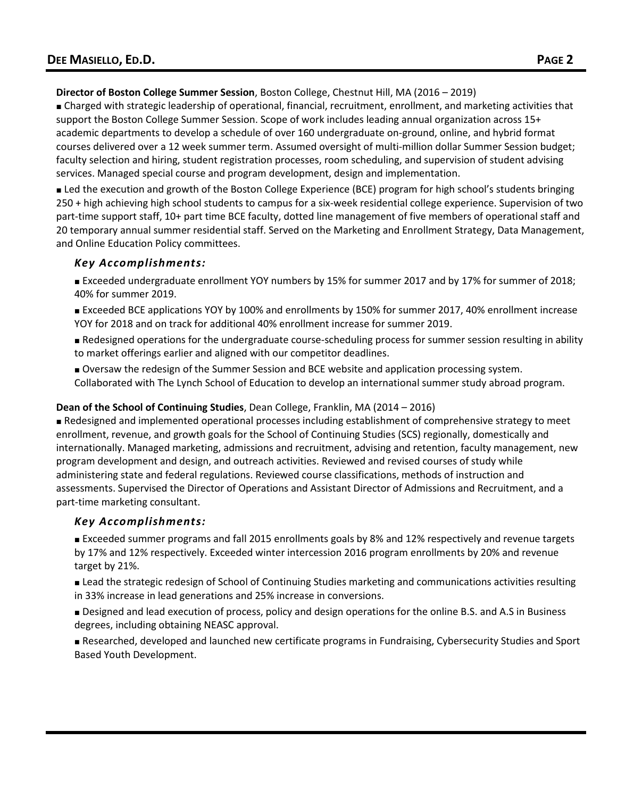**Director of Boston College Summer Session**, Boston College, Chestnut Hill, MA (2016 – 2019)

■ Charged with strategic leadership of operational, financial, recruitment, enrollment, and marketing activities that support the Boston College Summer Session. Scope of work includes leading annual organization across 15+ academic departments to develop a schedule of over 160 undergraduate on-ground, online, and hybrid format courses delivered over a 12 week summer term. Assumed oversight of multi-million dollar Summer Session budget; faculty selection and hiring, student registration processes, room scheduling, and supervision of student advising services. Managed special course and program development, design and implementation.

■ Led the execution and growth of the Boston College Experience (BCE) program for high school's students bringing 250 + high achieving high school students to campus for a six-week residential college experience. Supervision of two part-time support staff, 10+ part time BCE faculty, dotted line management of five members of operational staff and 20 temporary annual summer residential staff. Served on the Marketing and Enrollment Strategy, Data Management, and Online Education Policy committees.

# *Key Accomplishments:*

■ Exceeded undergraduate enrollment YOY numbers by 15% for summer 2017 and by 17% for summer of 2018; 40% for summer 2019.

- Exceeded BCE applications YOY by 100% and enrollments by 150% for summer 2017, 40% enrollment increase YOY for 2018 and on track for additional 40% enrollment increase for summer 2019.
- Redesigned operations for the undergraduate course-scheduling process for summer session resulting in ability to market offerings earlier and aligned with our competitor deadlines.
- Oversaw the redesign of the Summer Session and BCE website and application processing system. Collaborated with The Lynch School of Education to develop an international summer study abroad program.

# **Dean of the School of Continuing Studies**, Dean College, Franklin, MA (2014 – 2016)

■ Redesigned and implemented operational processes including establishment of comprehensive strategy to meet enrollment, revenue, and growth goals for the School of Continuing Studies (SCS) regionally, domestically and internationally. Managed marketing, admissions and recruitment, advising and retention, faculty management, new program development and design, and outreach activities. Reviewed and revised courses of study while administering state and federal regulations. Reviewed course classifications, methods of instruction and assessments. Supervised the Director of Operations and Assistant Director of Admissions and Recruitment, and a part-time marketing consultant.

# *Key Accomplishments:*

■ Exceeded summer programs and fall 2015 enrollments goals by 8% and 12% respectively and revenue targets by 17% and 12% respectively. Exceeded winter intercession 2016 program enrollments by 20% and revenue target by 21%.

■ Lead the strategic redesign of School of Continuing Studies marketing and communications activities resulting in 33% increase in lead generations and 25% increase in conversions.

■ Designed and lead execution of process, policy and design operations for the online B.S. and A.S in Business degrees, including obtaining NEASC approval.

■ Researched, developed and launched new certificate programs in Fundraising, Cybersecurity Studies and Sport Based Youth Development.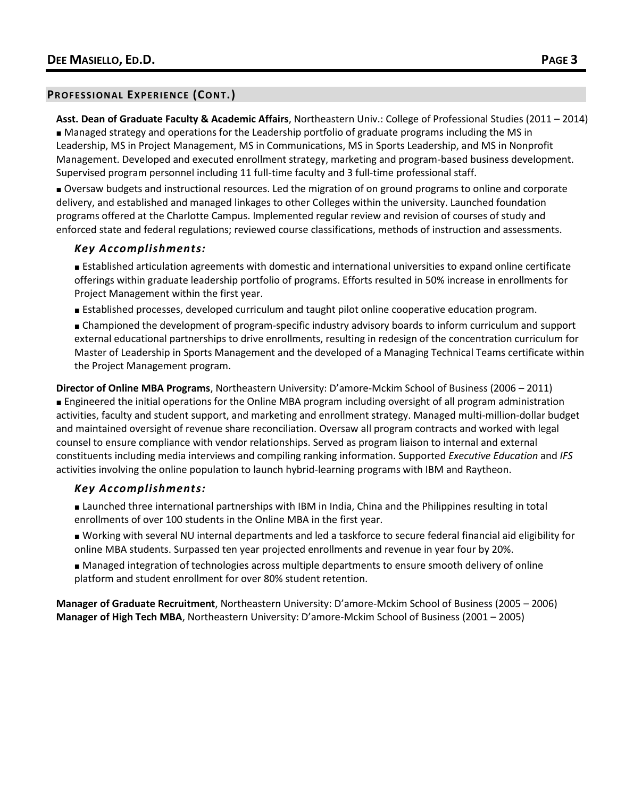#### **PROFESSIONAL EXPERIENCE (CONT.)**

**Asst. Dean of Graduate Faculty & Academic Affairs**, Northeastern Univ.: College of Professional Studies (2011 – 2014) ■ Managed strategy and operations for the Leadership portfolio of graduate programs including the MS in Leadership, MS in Project Management, MS in Communications, MS in Sports Leadership, and MS in Nonprofit Management. Developed and executed enrollment strategy, marketing and program-based business development. Supervised program personnel including 11 full-time faculty and 3 full-time professional staff.

■ Oversaw budgets and instructional resources. Led the migration of on ground programs to online and corporate delivery, and established and managed linkages to other Colleges within the university. Launched foundation programs offered at the Charlotte Campus. Implemented regular review and revision of courses of study and enforced state and federal regulations; reviewed course classifications, methods of instruction and assessments.

#### *Key Accomplishments:*

■ Established articulation agreements with domestic and international universities to expand online certificate offerings within graduate leadership portfolio of programs. Efforts resulted in 50% increase in enrollments for Project Management within the first year.

- Established processes, developed curriculum and taught pilot online cooperative education program.
- Championed the development of program-specific industry advisory boards to inform curriculum and support external educational partnerships to drive enrollments, resulting in redesign of the concentration curriculum for Master of Leadership in Sports Management and the developed of a Managing Technical Teams certificate within the Project Management program.

**Director of Online MBA Programs**, Northeastern University: D'amore-Mckim School of Business (2006 – 2011) ■ Engineered the initial operations for the Online MBA program including oversight of all program administration activities, faculty and student support, and marketing and enrollment strategy. Managed multi-million-dollar budget and maintained oversight of revenue share reconciliation. Oversaw all program contracts and worked with legal counsel to ensure compliance with vendor relationships. Served as program liaison to internal and external constituents including media interviews and compiling ranking information. Supported *Executive Education* and *IFS* activities involving the online population to launch hybrid-learning programs with IBM and Raytheon.

### *Key Accomplishments:*

- Launched three international partnerships with IBM in India, China and the Philippines resulting in total enrollments of over 100 students in the Online MBA in the first year.
- Working with several NU internal departments and led a taskforce to secure federal financial aid eligibility for online MBA students. Surpassed ten year projected enrollments and revenue in year four by 20%.
- Managed integration of technologies across multiple departments to ensure smooth delivery of online platform and student enrollment for over 80% student retention.

**Manager of Graduate Recruitment**, Northeastern University: D'amore-Mckim School of Business (2005 – 2006) **Manager of High Tech MBA**, Northeastern University: D'amore-Mckim School of Business (2001 – 2005)